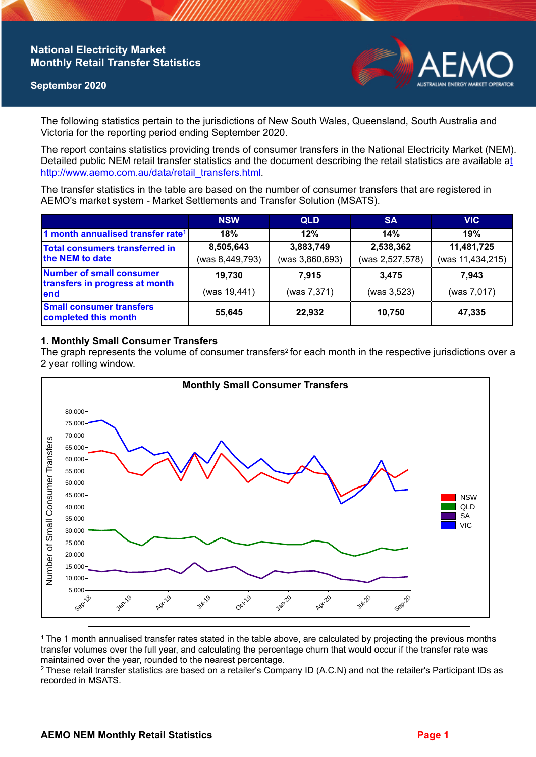## **National Electricity Market Monthly Retail Transfer Statistics**

### **September 2020**



The following statistics pertain to the jurisdictions of New South Wales, Queensland, South Australia and Victoria for the reporting period ending September 2020.

The report contains statistics providing trends of consumer transfers in the National Electricity Market (NEM). Detailed public NEM retail transfer statistics and the document describing the retail statistics are available a[t](http://www.aemo.com.au/data/retail_transfers.html)  http://www.aemo.com.au/data/retail\_transfers.html

The transfer statistics in the table are based on the number of consumer transfers that are registered in AEMO's market system - Market Settlements and Transfer Solution (MSATS).

|                                                                    | <b>NSW</b>      | <b>QLD</b>      | <b>SA</b>       | <b>VIC</b>       |
|--------------------------------------------------------------------|-----------------|-----------------|-----------------|------------------|
| 1 month annualised transfer rate <sup>1</sup>                      | 18%             | 12%             | 14%             | 19%              |
| <b>Total consumers transferred in</b><br>the NEM to date           | 8,505,643       | 3,883,749       | 2,538,362       | 11,481,725       |
|                                                                    | (was 8,449,793) | (was 3,860,693) | (was 2,527,578) | (was 11,434,215) |
| Number of small consumer<br>transfers in progress at month<br>lend | 19,730          | 7.915           | 3.475           | 7.943            |
|                                                                    | (was 19,441)    | (was 7,371)     | (was 3,523)     | (was 7,017)      |
| <b>Small consumer transfers</b><br>completed this month            | 55,645          | 22,932          | 10,750          | 47,335           |

### **1. Monthly Small Consumer Transfers**

The graph represents the volume of consumer transfers<sup>2</sup> for each month in the respective jurisdictions over a 2 year rolling window.



<sup>1</sup>The 1 month annualised transfer rates stated in the table above, are calculated by projecting the previous months transfer volumes over the full year, and calculating the percentage churn that would occur if the transfer rate was maintained over the year, rounded to the nearest percentage.

<sup>2</sup> These retail transfer statistics are based on a retailer's Company ID (A.C.N) and not the retailer's Participant IDs as recorded in MSATS.